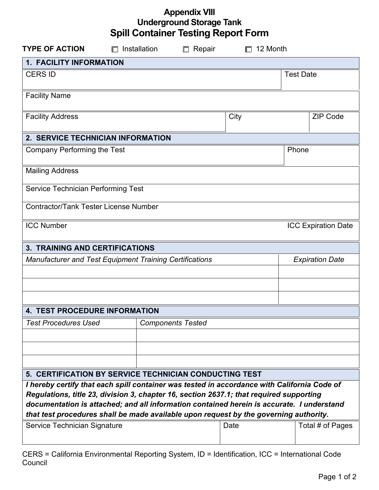| <b>Appendix VIII</b>                       |  |
|--------------------------------------------|--|
| <b>Underground Storage Tank</b>            |  |
| <b>Spill Container Testing Report Form</b> |  |

| <b>TYPE OF ACTION</b>                                                                                                                                                                  | $\Box$ Installation | $\Box$ Repair            | 12 Month |                            |  |  |  |
|----------------------------------------------------------------------------------------------------------------------------------------------------------------------------------------|---------------------|--------------------------|----------|----------------------------|--|--|--|
| 1. FACILITY INFORMATION                                                                                                                                                                |                     |                          |          |                            |  |  |  |
| <b>CERS ID</b>                                                                                                                                                                         |                     |                          |          | <b>Test Date</b>           |  |  |  |
| <b>Facility Name</b>                                                                                                                                                                   |                     |                          |          |                            |  |  |  |
| <b>Facility Address</b>                                                                                                                                                                |                     |                          | City     | <b>ZIP Code</b>            |  |  |  |
| 2. SERVICE TECHNICIAN INFORMATION                                                                                                                                                      |                     |                          |          |                            |  |  |  |
| Company Performing the Test                                                                                                                                                            |                     |                          |          | Phone                      |  |  |  |
| <b>Mailing Address</b>                                                                                                                                                                 |                     |                          |          |                            |  |  |  |
| Service Technician Performing Test                                                                                                                                                     |                     |                          |          |                            |  |  |  |
| <b>Contractor/Tank Tester License Number</b>                                                                                                                                           |                     |                          |          |                            |  |  |  |
| <b>ICC Number</b>                                                                                                                                                                      |                     |                          |          | <b>ICC Expiration Date</b> |  |  |  |
| <b>3. TRAINING AND CERTIFICATIONS</b>                                                                                                                                                  |                     |                          |          |                            |  |  |  |
| Manufacturer and Test Equipment Training Certifications                                                                                                                                |                     |                          |          | <b>Expiration Date</b>     |  |  |  |
|                                                                                                                                                                                        |                     |                          |          |                            |  |  |  |
|                                                                                                                                                                                        |                     |                          |          |                            |  |  |  |
|                                                                                                                                                                                        |                     |                          |          |                            |  |  |  |
| <b>4. TEST PROCEDURE INFORMATION</b>                                                                                                                                                   |                     |                          |          |                            |  |  |  |
| <b>Test Procedures Used</b>                                                                                                                                                            |                     | <b>Components Tested</b> |          |                            |  |  |  |
|                                                                                                                                                                                        |                     |                          |          |                            |  |  |  |
|                                                                                                                                                                                        |                     |                          |          |                            |  |  |  |
|                                                                                                                                                                                        |                     |                          |          |                            |  |  |  |
| 5. CERTIFICATION BY SERVICE TECHNICIAN CONDUCTING TEST                                                                                                                                 |                     |                          |          |                            |  |  |  |
| I hereby certify that each spill container was tested in accordance with California Code of<br>Regulations, title 23, division 3, chapter 16, section 2637.1; that required supporting |                     |                          |          |                            |  |  |  |
| documentation is attached; and all information contained herein is accurate. I understand                                                                                              |                     |                          |          |                            |  |  |  |
| that test procedures shall be made available upon request by the governing authority.                                                                                                  |                     |                          |          |                            |  |  |  |
| Service Technician Signature                                                                                                                                                           |                     |                          | Date     | Total # of Pages           |  |  |  |
|                                                                                                                                                                                        |                     |                          |          |                            |  |  |  |

CERS = California Environmental Reporting System, ID = Identification, ICC = International Code Council